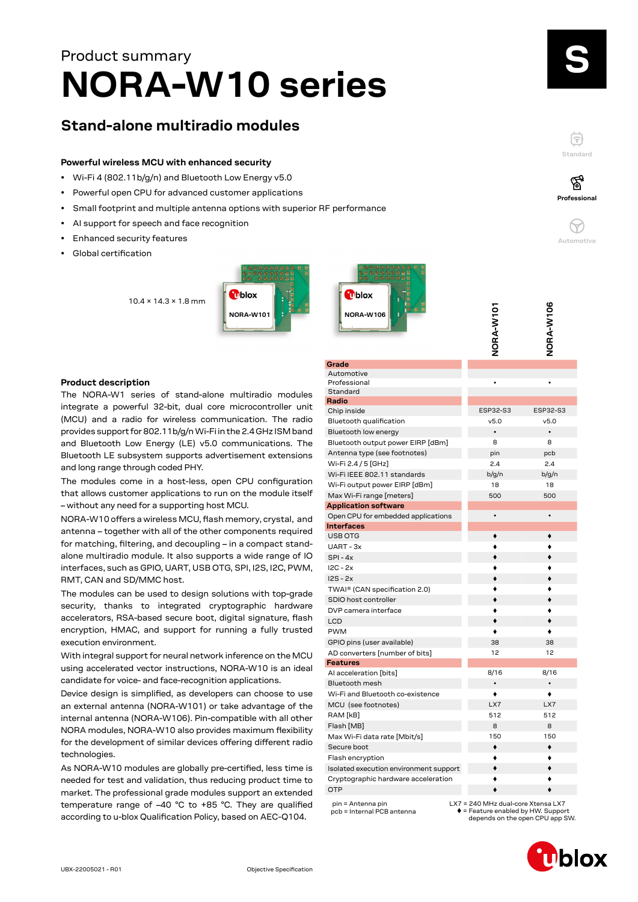# **NORA-W10 series** Product summary

# **Stand-alone multiradio modules**

# **Powerful wireless MCU with enhanced security**

- Wi-Fi 4 (802.11b/g/n) and Bluetooth Low Energy v5.0
- Powerful open CPU for advanced customer applications
- Small footprint and multiple antenna options with superior RF performance
- AI support for speech and face recognition
- Enhanced security features
- Global certification

10.4 × 14.3 × 1.8 mm





# **NORA-W106** ORA-W101 **NORA-W101 ORA-W106**

# **Product description**

The NORA-W1 series of stand-alone multiradio modules integrate a powerful 32-bit, dual core microcontroller unit (MCU) and a radio for wireless communication. The radio provides support for 802.11b/g/n Wi-Fi in the 2.4 GHz ISM band and Bluetooth Low Energy (LE) v5.0 communications. The Bluetooth LE subsystem supports advertisement extensions and long range through coded PHY.

The modules come in a host-less, open CPU configuration that allows customer applications to run on the module itself – without any need for a supporting host MCU.

NORA-W10 offers a wireless MCU, flash memory, crystal, and antenna – together with all of the other components required for matching, filtering, and decoupling – in a compact standalone multiradio module. It also supports a wide range of IO interfaces, such as GPIO, UART, USB OTG, SPI, I2S, I2C, PWM, RMT, CAN and SD/MMC host.

The modules can be used to design solutions with top-grade security, thanks to integrated cryptographic hardware accelerators, RSA-based secure boot, digital signature, flash encryption, HMAC, and support for running a fully trusted execution environment.

With integral support for neural network inference on the MCU using accelerated vector instructions, NORA-W10 is an ideal candidate for voice- and face-recognition applications.

Device design is simplified, as developers can choose to use an external antenna (NORA-W101) or take advantage of the internal antenna (NORA-W106). Pin-compatible with all other NORA modules, NORA-W10 also provides maximum flexibility for the development of similar devices offering different radio technologies.

As NORA-W10 modules are globally pre-certified, less time is needed for test and validation, thus reducing product time to market. The professional grade modules support an extended temperature range of –40 °C to +85 °C. They are qualified according to u-blox Qualification Policy, based on AEC-Q104.

|                                                 | ے                                                                                      | ے                               |
|-------------------------------------------------|----------------------------------------------------------------------------------------|---------------------------------|
| Grade                                           |                                                                                        |                                 |
| Automotive                                      |                                                                                        |                                 |
| Professional                                    |                                                                                        |                                 |
| Standard                                        |                                                                                        |                                 |
| Radio                                           |                                                                                        |                                 |
| Chip inside                                     | ESP32-S3                                                                               | ESP32-S3                        |
| Bluetooth qualification                         | v5.0                                                                                   | v5.0                            |
| Bluetooth low energy                            | $\bullet$                                                                              | $\bullet$                       |
| Bluetooth output power EIRP [dBm]               | 8                                                                                      | 8                               |
| Antenna type (see footnotes)                    | pin                                                                                    | pcb                             |
| Wi-Fi 2.4 / 5 [GHz]                             | 2.4                                                                                    | 2.4                             |
| Wi-Fi IEEE 802.11 standards                     | b/q/n                                                                                  | b/q/n                           |
| Wi-Fi output power EIRP [dBm]                   | 18                                                                                     | 18                              |
| Max Wi-Fi range [meters]                        | 500                                                                                    | 500                             |
| <b>Application software</b>                     |                                                                                        |                                 |
| Open CPU for embedded applications              | $\bullet$                                                                              | $\bullet$                       |
| <b>Interfaces</b>                               |                                                                                        |                                 |
| <b>USB OTG</b>                                  |                                                                                        |                                 |
| UART - 3x                                       |                                                                                        |                                 |
| $SPI - 4x$                                      |                                                                                        |                                 |
| $IC - 2x$                                       |                                                                                        |                                 |
| $IS - 2x$                                       |                                                                                        |                                 |
| TWAI® (CAN specification 2.0)                   |                                                                                        |                                 |
| SDIO host controller                            |                                                                                        |                                 |
| DVP camera interface                            |                                                                                        |                                 |
| <b>LCD</b>                                      |                                                                                        |                                 |
| <b>PWM</b>                                      |                                                                                        |                                 |
| GPIO pins (user available)                      | 38                                                                                     | 38                              |
| AD converters [number of bits]                  | 12                                                                                     | 12                              |
| <b>Features</b>                                 |                                                                                        |                                 |
| Al acceleration [bits]                          | 8/16                                                                                   | 8/16                            |
| <b>Bluetooth mesh</b>                           | $\bullet$                                                                              | $\bullet$                       |
| Wi-Fi and Bluetooth co-existence                | ٠                                                                                      | ٠                               |
| MCU (see footnotes)                             | LX7                                                                                    | LX7                             |
| RAM [kB]                                        | 512                                                                                    | 512                             |
| Flash [MB]                                      | 8                                                                                      | 8                               |
| Max Wi-Fi data rate [Mbit/s]                    | 150                                                                                    | 150                             |
| Secure boot                                     | ۰                                                                                      | ۰                               |
| Flash encryption                                |                                                                                        |                                 |
| Isolated execution environment support          |                                                                                        |                                 |
| Cryptographic hardware acceleration             |                                                                                        |                                 |
| <b>OTP</b>                                      |                                                                                        |                                 |
|                                                 |                                                                                        |                                 |
| pin = Antenna pin<br>pcb = Internal PCB antenna | LX7 = 240 MHz dual-core Xtensa LX7<br>$\blacklozenge$ = Feature enabled by HW. Support | depends on the open CPU app SW. |

**u**blox

**Standard**

F

**Professional**

′ିବୁ

**Automotive**

 $\left(\gamma\right)$